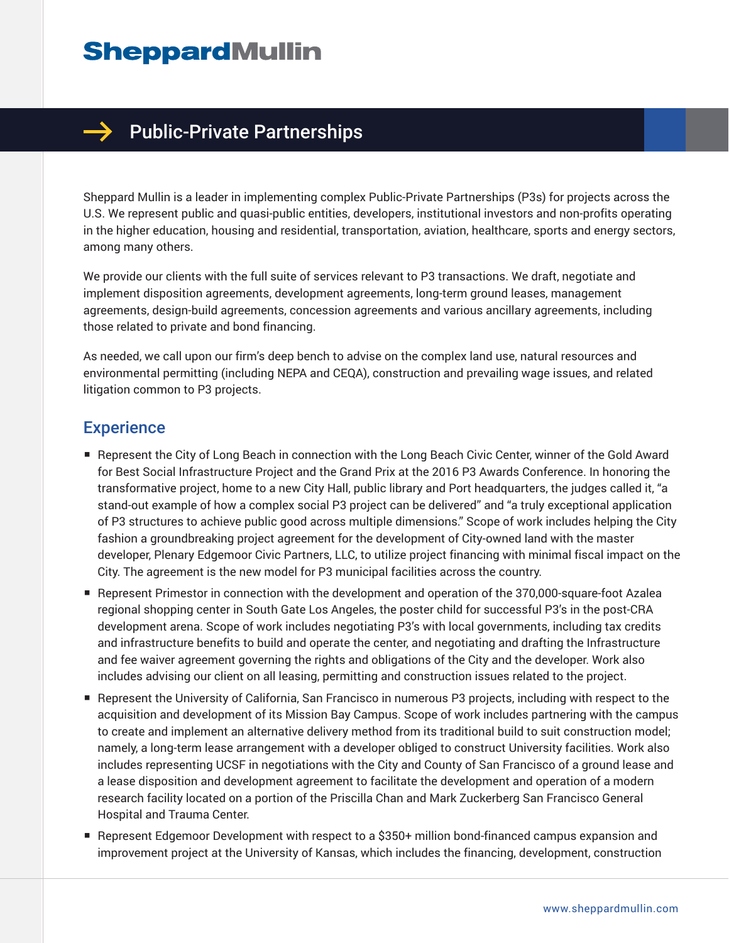## **SheppardMullin**



## $\rightarrow$  Public-Private Partnerships

Sheppard Mullin is a leader in implementing complex Public-Private Partnerships (P3s) for projects across the U.S. We represent public and quasi-public entities, developers, institutional investors and non-profits operating in the higher education, housing and residential, transportation, aviation, healthcare, sports and energy sectors, among many others.

We provide our clients with the full suite of services relevant to P3 transactions. We draft, negotiate and implement disposition agreements, development agreements, long-term ground leases, management agreements, design-build agreements, concession agreements and various ancillary agreements, including those related to private and bond financing.

As needed, we call upon our firm's deep bench to advise on the complex land use, natural resources and environmental permitting (including NEPA and CEQA), construction and prevailing wage issues, and related litigation common to P3 projects.

## **Experience**

- Represent the City of Long Beach in connection with the Long Beach Civic Center, winner of the Gold Award for Best Social Infrastructure Project and the Grand Prix at the 2016 P3 Awards Conference. In honoring the transformative project, home to a new City Hall, public library and Port headquarters, the judges called it, "a stand-out example of how a complex social P3 project can be delivered" and "a truly exceptional application of P3 structures to achieve public good across multiple dimensions." Scope of work includes helping the City fashion a groundbreaking project agreement for the development of City-owned land with the master developer, Plenary Edgemoor Civic Partners, LLC, to utilize project financing with minimal fiscal impact on the City. The agreement is the new model for P3 municipal facilities across the country.
- Represent Primestor in connection with the development and operation of the 370,000-square-foot Azalea regional shopping center in South Gate Los Angeles, the poster child for successful P3's in the post-CRA development arena. Scope of work includes negotiating P3's with local governments, including tax credits and infrastructure benefits to build and operate the center, and negotiating and drafting the Infrastructure and fee waiver agreement governing the rights and obligations of the City and the developer. Work also includes advising our client on all leasing, permitting and construction issues related to the project.
- Represent the University of California, San Francisco in numerous P3 projects, including with respect to the acquisition and development of its Mission Bay Campus. Scope of work includes partnering with the campus to create and implement an alternative delivery method from its traditional build to suit construction model; namely, a long-term lease arrangement with a developer obliged to construct University facilities. Work also includes representing UCSF in negotiations with the City and County of San Francisco of a ground lease and a lease disposition and development agreement to facilitate the development and operation of a modern research facility located on a portion of the Priscilla Chan and Mark Zuckerberg San Francisco General Hospital and Trauma Center.
- Represent Edgemoor Development with respect to a \$350+ million bond-financed campus expansion and improvement project at the University of Kansas, which includes the financing, development, construction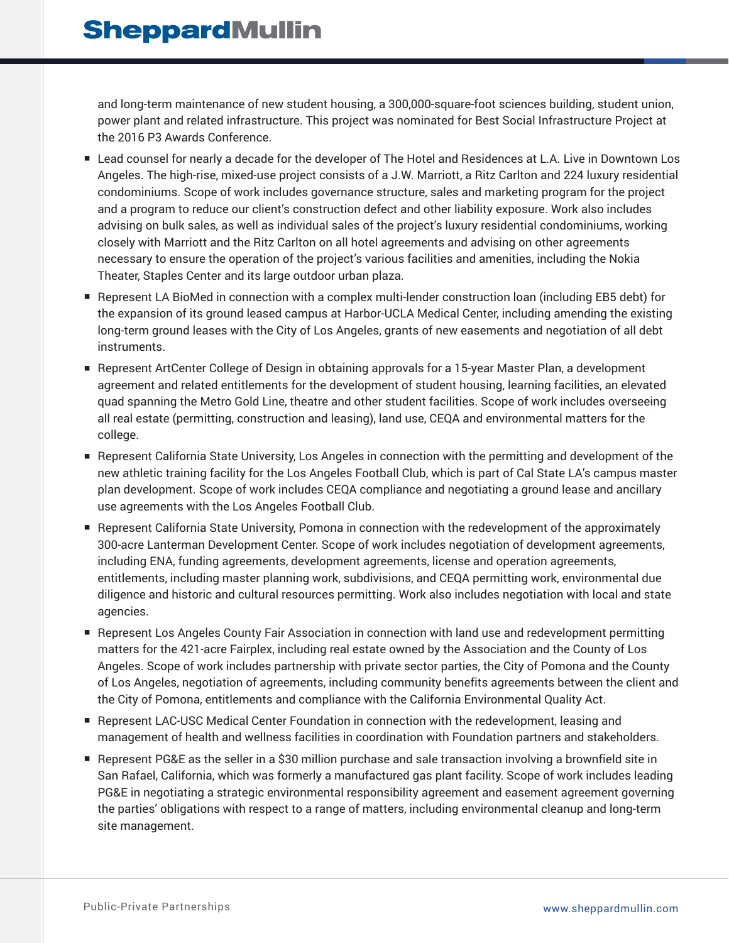and long-term maintenance of new student housing, a 300,000-square-foot sciences building, student union, power plant and related infrastructure. This project was nominated for Best Social Infrastructure Project at the 2016 P3 Awards Conference.

- Lead counsel for nearly a decade for the developer of The Hotel and Residences at L.A. Live in Downtown Los Angeles. The high-rise, mixed-use project consists of a J.W. Marriott, a Ritz Carlton and 224 luxury residential condominiums. Scope of work includes governance structure, sales and marketing program for the project and a program to reduce our client's construction defect and other liability exposure. Work also includes advising on bulk sales, as well as individual sales of the project's luxury residential condominiums, working closely with Marriott and the Ritz Carlton on all hotel agreements and advising on other agreements necessary to ensure the operation of the project's various facilities and amenities, including the Nokia Theater, Staples Center and its large outdoor urban plaza.
- Represent LA BioMed in connection with a complex multi-lender construction loan (including EB5 debt) for the expansion of its ground leased campus at Harbor-UCLA Medical Center, including amending the existing long-term ground leases with the City of Los Angeles, grants of new easements and negotiation of all debt instruments.
- Represent ArtCenter College of Design in obtaining approvals for a 15-year Master Plan, a development agreement and related entitlements for the development of student housing, learning facilities, an elevated quad spanning the Metro Gold Line, theatre and other student facilities. Scope of work includes overseeing all real estate (permitting, construction and leasing), land use, CEQA and environmental matters for the college.
- Represent California State University, Los Angeles in connection with the permitting and development of the new athletic training facility for the Los Angeles Football Club, which is part of Cal State LA's campus master plan development. Scope of work includes CEQA compliance and negotiating a ground lease and ancillary use agreements with the Los Angeles Football Club.
- Represent California State University, Pomona in connection with the redevelopment of the approximately 300-acre Lanterman Development Center. Scope of work includes negotiation of development agreements, including ENA, funding agreements, development agreements, license and operation agreements, entitlements, including master planning work, subdivisions, and CEQA permitting work, environmental due diligence and historic and cultural resources permitting. Work also includes negotiation with local and state agencies.
- Represent Los Angeles County Fair Association in connection with land use and redevelopment permitting matters for the 421-acre Fairplex, including real estate owned by the Association and the County of Los Angeles. Scope of work includes partnership with private sector parties, the City of Pomona and the County of Los Angeles, negotiation of agreements, including community benefits agreements between the client and the City of Pomona, entitlements and compliance with the California Environmental Quality Act.
- Represent LAC-USC Medical Center Foundation in connection with the redevelopment, leasing and management of health and wellness facilities in coordination with Foundation partners and stakeholders.
- Represent PG&E as the seller in a \$30 million purchase and sale transaction involving a brownfield site in San Rafael, California, which was formerly a manufactured gas plant facility. Scope of work includes leading PG&E in negotiating a strategic environmental responsibility agreement and easement agreement governing the parties' obligations with respect to a range of matters, including environmental cleanup and long‐term site management.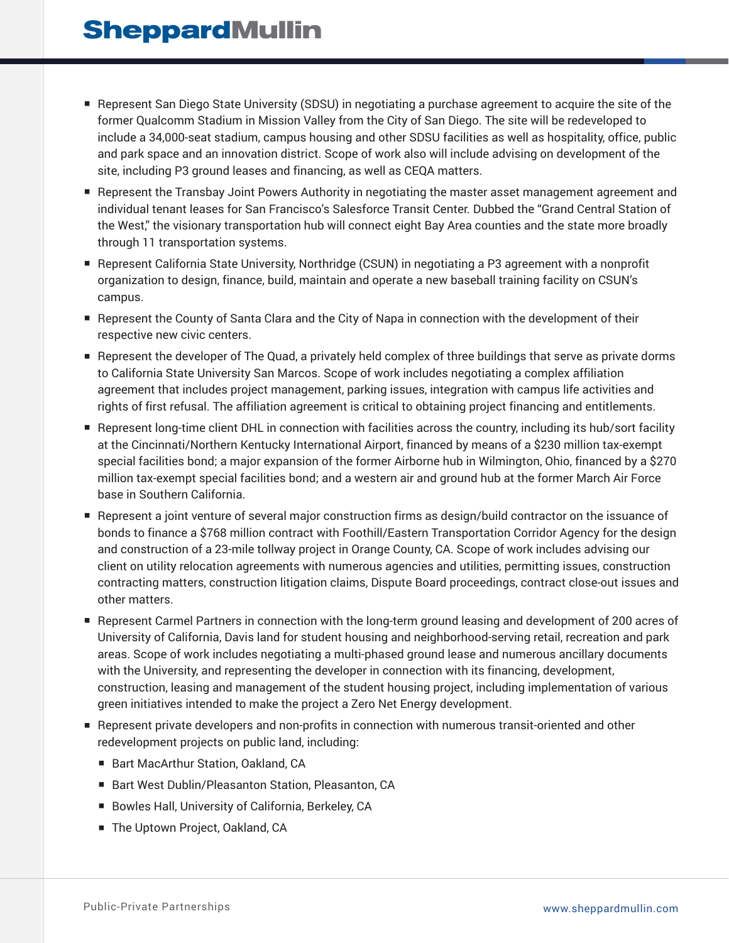- Represent San Diego State University (SDSU) in negotiating a purchase agreement to acquire the site of the former Qualcomm Stadium in Mission Valley from the City of San Diego. The site will be redeveloped to include a 34,000-seat stadium, campus housing and other SDSU facilities as well as hospitality, office, public and park space and an innovation district. Scope of work also will include advising on development of the site, including P3 ground leases and financing, as well as CEQA matters.
- Represent the Transbay Joint Powers Authority in negotiating the master asset management agreement and individual tenant leases for San Francisco's Salesforce Transit Center. Dubbed the "Grand Central Station of the West," the visionary transportation hub will connect eight Bay Area counties and the state more broadly through 11 transportation systems.
- Represent California State University, Northridge (CSUN) in negotiating a P3 agreement with a nonprofit organization to design, finance, build, maintain and operate a new baseball training facility on CSUN's campus.
- Represent the County of Santa Clara and the City of Napa in connection with the development of their respective new civic centers.
- Represent the developer of The Quad, a privately held complex of three buildings that serve as private dorms to California State University San Marcos. Scope of work includes negotiating a complex affiliation agreement that includes project management, parking issues, integration with campus life activities and rights of first refusal. The affiliation agreement is critical to obtaining project financing and entitlements.
- Represent long-time client DHL in connection with facilities across the country, including its hub/sort facility at the Cincinnati/Northern Kentucky International Airport, financed by means of a \$230 million tax-exempt special facilities bond; a major expansion of the former Airborne hub in Wilmington, Ohio, financed by a \$270 million tax-exempt special facilities bond; and a western air and ground hub at the former March Air Force base in Southern California.
- Represent a joint venture of several major construction firms as design/build contractor on the issuance of bonds to finance a \$768 million contract with Foothill/Eastern Transportation Corridor Agency for the design and construction of a 23-mile tollway project in Orange County, CA. Scope of work includes advising our client on utility relocation agreements with numerous agencies and utilities, permitting issues, construction contracting matters, construction litigation claims, Dispute Board proceedings, contract close-out issues and other matters.
- Represent Carmel Partners in connection with the long-term ground leasing and development of 200 acres of University of California, Davis land for student housing and neighborhood-serving retail, recreation and park areas. Scope of work includes negotiating a multi-phased ground lease and numerous ancillary documents with the University, and representing the developer in connection with its financing, development, construction, leasing and management of the student housing project, including implementation of various green initiatives intended to make the project a Zero Net Energy development.
- Represent private developers and non-profits in connection with numerous transit-oriented and other redevelopment projects on public land, including:
	- Bart MacArthur Station, Oakland, CA
	- Bart West Dublin/Pleasanton Station, Pleasanton, CA
	- Bowles Hall, University of California, Berkeley, CA
	- The Uptown Project, Oakland, CA